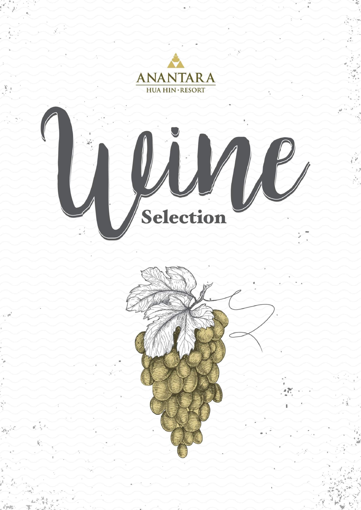# ANANTARA

<u> Restaurant en la partida de la partida de la partida de la partida de la partida de la partida de la partida d</u>

<u>and a complete the second and the second of the second second and the second second and the second second second</u>

in the second control of the second second the second second second the second second second second second second second second second second second second second second second second second second second second second sec

<u>a se a seu a seu de as as as as as as as as</u>

 $\sim$   $\times$ 

The state of the state of the state of the state of the state of the state of the state of the state of the state of the state of the state of the state of the state of the state of the state of the state of the state of t

 $\qquad \qquad \bullet \quad \bullet \; \circ$ 

in production and a company of the second control of the second control of the second control of the second control of the second control of the second control of the second control of the second control of the second cont

a se a construção de la construção de la construção de la construção de la construção de la construção de la c

musical comunication de la comunicación de la comunicación de la comunicación de la comunicación de la comunicación

**EXECUTE AND A FINAL HINE RESORT AND A PROPERTY AND A PROPERTY AND A PROPERTY AND A PROPERTY AND A PROPERTY AND A PROPERTY AND A PROPERTY AND A PROPERTY AND A PROPERTY AND A PROPERTY AND A PROPERTY AND A PROPERTY AND A PRO** 

# Selection



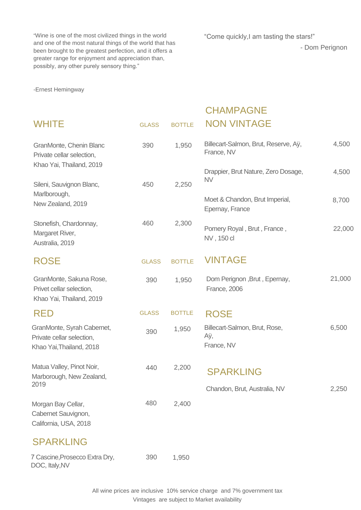"Wine is one of the most civilized things in the world and one of the most natural things of the world that has been brought to the greatest perfection, and it offers a greater range for enjoyment and appreciation than, possibly, any other purely sensory thing."

-Ernest Hemingway

"Come quickly,I am tasting the stars!"

- Dom Perignon



#### GLASS BOTTLE CHAMPAGNE NON VINTAGE

| ROSE |
|------|
|------|

GLASS BOTTLE VINTAGE

| <b>GranMonte, Chenin Blanc</b><br>Private cellar selection,         | 390 | 1,950 | Billecart-Salmon, Brut, Reserve, Aÿ,<br>France, NV | 4,500  |
|---------------------------------------------------------------------|-----|-------|----------------------------------------------------|--------|
| Khao Yai, Thailand, 2019                                            |     |       | Drappier, Brut Nature, Zero Dosage,<br><b>NV</b>   | 4,500  |
| Sileni, Sauvignon Blanc,                                            | 450 | 2,250 |                                                    |        |
| Marlborough,<br>New Zealand, 2019                                   |     |       | Moet & Chandon, Brut Imperial,<br>Epernay, France  | 8,700  |
| Stonefish, Chardonnay,<br><b>Margaret River,</b><br>Australia, 2019 | 460 | 2,300 | Pomery Royal, Brut, France,<br>NV, 150 cl          | 22,000 |



Morgan Bay Cellar, Cabernet Sauvignon, California, USA, 2018

| GranMonte, Sakuna Rose,<br>Privet cellar selection,<br>Khao Yai, Thailand, 2019     | 390          | 1,950 | Dom Perignon, Brut, Epernay,<br><b>France, 2006</b> | 21,000 |
|-------------------------------------------------------------------------------------|--------------|-------|-----------------------------------------------------|--------|
| RED                                                                                 | <b>GLASS</b> |       | BOTTLE ROSF                                         |        |
| GranMonte, Syrah Cabernet,<br>Private cellar selection,<br>Khao Yai, Thailand, 2018 | 390          | 1,950 | Billecart-Salmon, Brut, Rose,<br>Аÿ,<br>France, NV  | 6,500  |
| Matua Valley, Pinot Noir,<br>Marborough, New Zealand,<br>2019                       | 440          | 2,200 | SPARKLING<br>Chandon, Brut, Australia, NV           | 2,250  |

7 Cascine,Prosecco Extra Dry, DOC, Italy,NV 390 1,950

> All wine prices are inclusive 10% service charge and 7% government tax Vintages are subject to Market availability

SPARKLING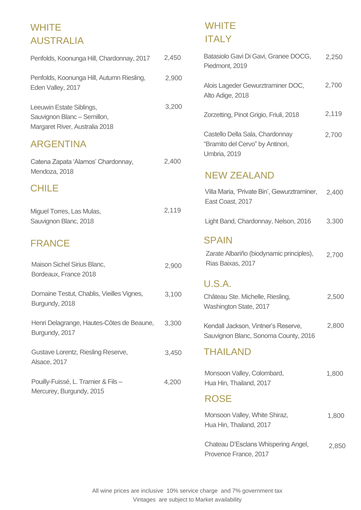# **WHITE** AUSTRALIA

Penfolds, Koonunga Hill, Chardonnay, 2017 2,450

Penfolds, Koonunga Hill, Autumn Riesling, Eden Valley, 2017 2,900

Leeuwin Estate Siblings, Sauvignon Blanc – Semillon, Margaret River, Australia 2018

3,200

# WHITE ITALY

Batasiolo Gavi Di Gavi, Granee DOCG, Piedmont, 2019 2,250

Alois Lageder Gewurztraminer DOC, Alto Adige, 2018 2,700

Castello Della Sala, Chardonnay

"Bramito del Cervo" by Antinori, Umbria, 2019

#### ARGENTINA

Villa Maria, 'Private Bin', Gewurztraminer, East Coast, 2017 2,400

2,500

Maison Sichel Sirius Blanc,

Bordeaux, France 2018

Zorzetting, Pinot Grigio, Friuli, 2018 2,119

Gustave Lorentz, Riesling Reserve, Alsace, 2017

Henri Delagrange, Hautes-Côtes de Beaune, Burgundy, 2017 3,300 Light Band, Chardonnay, Nelson, 2016 3,300

Pouilly-Fuissé, L. Tramier & Fils – Mercurey, Burgundy, 2015

3,450

#### NEW ZEALAND

Château Ste. Michelle, Riesling, Washington State, 2017

Kendall Jackson, Vintner's Reserve, Sauvignon Blanc, Sonoma County, 2016

Domaine Testut, Chablis, Vieilles Vignes, Burgundy, 2018 3,100

4,200

2,400

#### SPAIN

#### U.S.A.

Zarate Albariño (biodynamic principles), Rias Baixas, 2017 2,700

2,800



#### ROSE

Monsoon Valley, White Shiraz, Hua Hin, Thailand, 2017

#### Chateau D'Esclans Whispering Angel, Provence France, 2017

2,850

FRANCE

Catena Zapata 'Alamos' Chardonnay, Mendoza, 2018

2,900

Miguel Torres, Las Mulas, Sauvignon Blanc, 2018

#### CHILE

2,119

2,700



Monsoon Valley, Colombard, Hua Hin, Thailand, 2017

THAILAND



All wine prices are inclusive 10% service charge and 7% government tax Vintages are subject to Market availability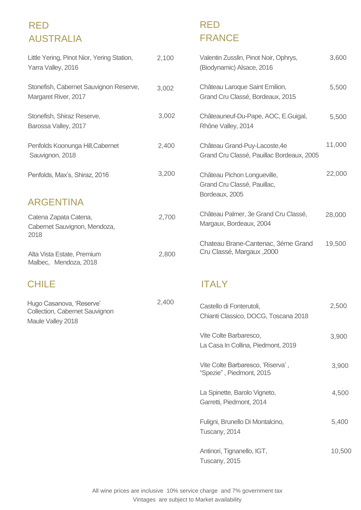#### RED AUSTRALIA

Penfolds Koonunga H Sauvignon, 2018

Penfolds, Max's, Shira

Stonefish, Shiraz Reserve, Barossa Valley, 2017

Stonefish, Cabernet Sauvignon Reserve, Margaret River, 2017 3,002

> Castello di Fonterutoli, Chianti Classico, DOCG, Toscana 2018

> Vite Colte Barbaresco,

La Casa In Collina, Piedmont, 2019

Vite Colte Barbaresco, 'Riserva' ,

"Spezie" , Piedmont, 2015

La Spinette, Barolo Vigneto, Garretti, Piedmont, 2014

Fuligni, Brunello Di Montalcino, Tuscany, 2014

Little Yering, Pinot Nior, Yering Station, Yarra Valley, 2016 Valentin Zusslin, Pinot Noir, Ophrys, (Biodynamic) Alsace, 2016 2,100

> Antinori, Tignanello, IGT, Tuscany, 2015

Catena Zapata Cater Cabernet Sauvignon, 2018

3,900

5,400

Alta Vista Estate, Prei Malbec, Mendoza, 2018

#### CHILE ITALY

10,500

Château Laroque Saint Emilion,

Grand Cru Classé, Bordeaux, 2015

Châteauneuf-Du-Pape, AOC, E.Guigal, Rhône Valley, 2014 5,500

| Hill, Cabernet    | 2,400 | Château Grand-Puy-Lacoste, 4e<br>Grand Cru Classé, Pauillac Bordeaux, 2005   | 11,000 |
|-------------------|-------|------------------------------------------------------------------------------|--------|
| az, 2016          | 3,200 | Château Pichon Longueville,<br>Grand Cru Classé, Pauillac,<br>Bordeaux, 2005 | 22,000 |
| na,<br>, Mendoza, | 2,700 | Château Palmer, 3e Grand Cru Classé,<br>Margaux, Bordeaux, 2004              | 28,000 |
| mium?             | 2,800 | Chateau Brane-Cantenac, 3éme Grand<br>Cru Classé, Margaux, 2000              | 19,500 |

#### ARGENTINA

5,500

3,600

# RED FRANCE

2,500

All wine prices are inclusive 10% service charge and 7% government tax Vintages are subject to Market availability

3,002

Hugo Casanova, 'Reserve' Collection, Cabernet Sauvignon Maule Valley 2018

2,400

3,900